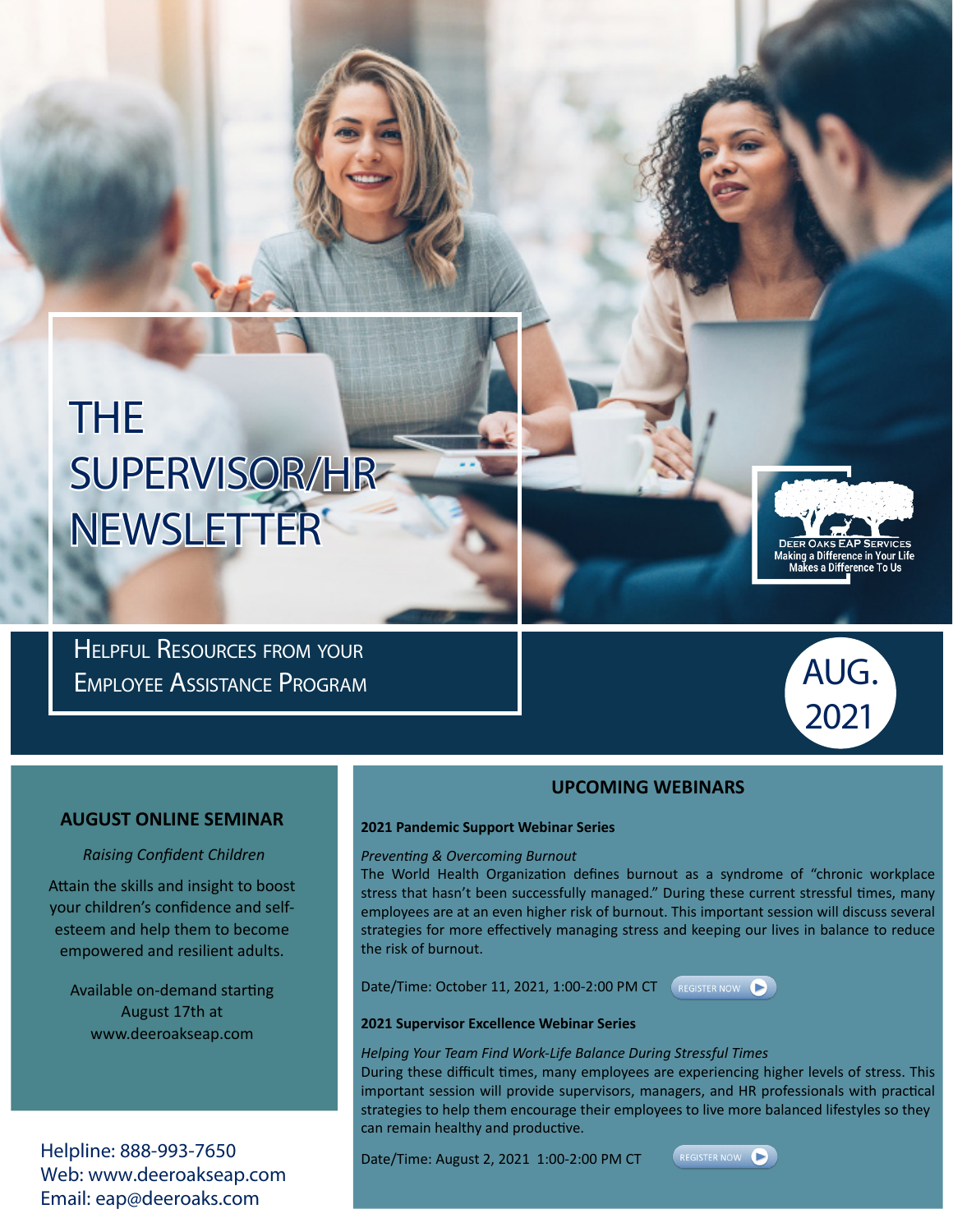# THE SUPERVISOR/HR NEWSLETTER

Helpful Resources from your Employee Assistance Program



Making a Difference in Your Life<br>Makes a Difference To Us

#### **UPCOMING WEBINARS**

#### **AUGUST ONLINE SEMINAR**

#### *Raising Confident Children*

Attain the skills and insight to boost your children's confidence and selfesteem and help them to become empowered and resilient adults.

Available on-demand starting August 17th at www.deeroakseap.com

Helpline: 888-993-7650 Web: www.deeroakseap.com Email: eap@deeroaks.com

### **2021 Pandemic Support Webinar Series**

#### *Preventing & Overcoming Burnout*

The World Health Organization defines burnout as a syndrome of "chronic workplace stress that hasn't been successfully managed." During these current stressful times, many employees are at an even higher risk of burnout. This important session will discuss several strategies for more effectively managing stress and keeping our lives in balance to reduce the risk of burnout.

Date/Time: October 11, 2021, 1:00-2:00 PM CT (REGISTER NOW ▶



#### **2021 Supervisor Excellence Webinar Series**

#### *Helping Your Team Find Work-Life Balance During Stressful Times*

During these difficult times, many employees are experiencing higher levels of stress. This important session will provide supervisors, managers, and HR professionals with practical strategies to help them encourage their employees to live more balanced lifestyles so they can remain healthy and productive.

Date/Time: August 2, 2021 1:00-2:00 PM CT

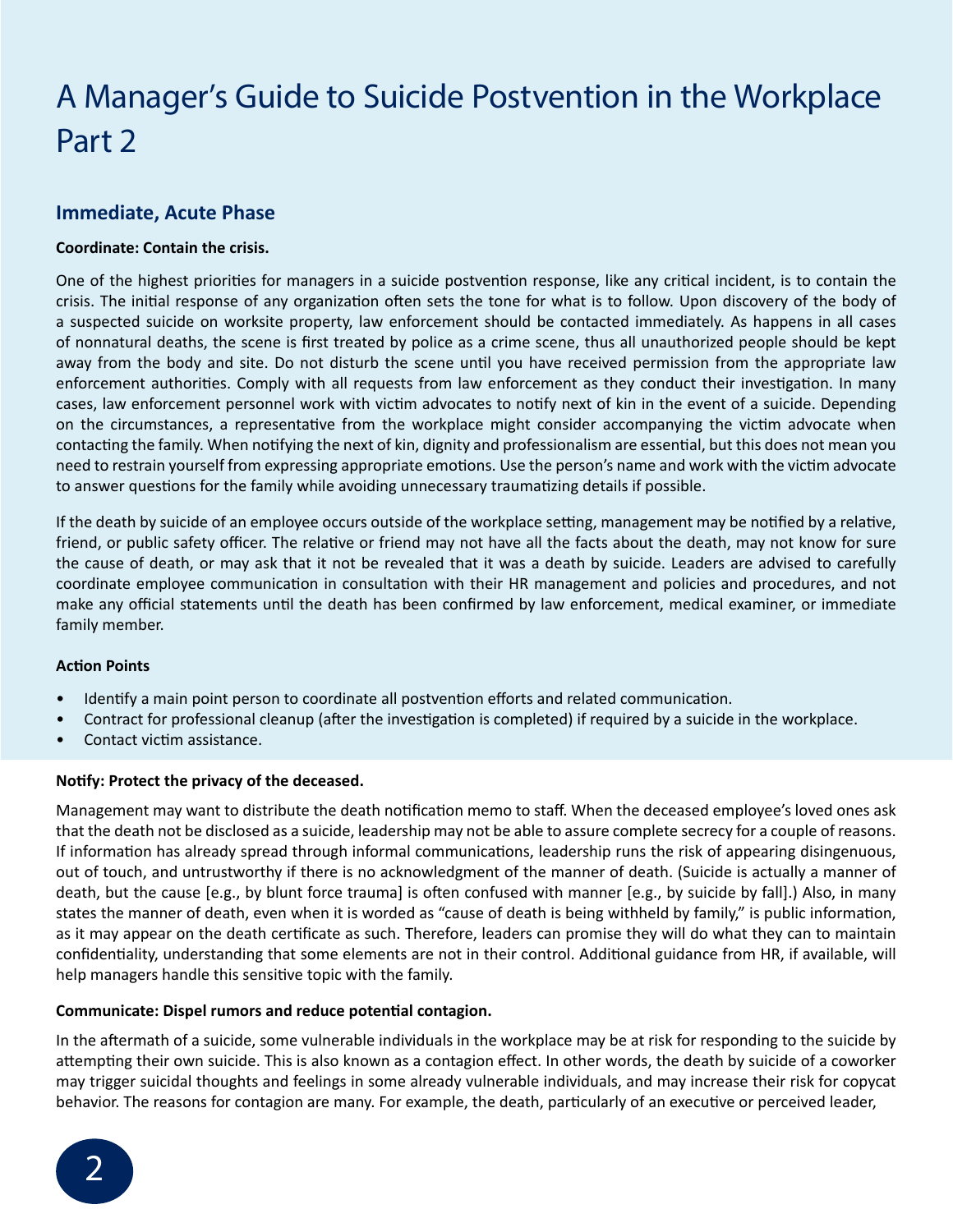### A Manager's Guide to Suicide Postvention in the Workplace Part 2

### **Immediate, Acute Phase**

#### **Coordinate: Contain the crisis.**

One of the highest priorities for managers in a suicide postvention response, like any critical incident, is to contain the crisis. The initial response of any organization often sets the tone for what is to follow. Upon discovery of the body of a suspected suicide on worksite property, law enforcement should be contacted immediately. As happens in all cases of nonnatural deaths, the scene is first treated by police as a crime scene, thus all unauthorized people should be kept away from the body and site. Do not disturb the scene until you have received permission from the appropriate law enforcement authorities. Comply with all requests from law enforcement as they conduct their investigation. In many cases, law enforcement personnel work with victim advocates to notify next of kin in the event of a suicide. Depending on the circumstances, a representative from the workplace might consider accompanying the victim advocate when contacting the family. When notifying the next of kin, dignity and professionalism are essential, but this does not mean you need to restrain yourself from expressing appropriate emotions. Use the person's name and work with the victim advocate to answer questions for the family while avoiding unnecessary traumatizing details if possible.

If the death by suicide of an employee occurs outside of the workplace setting, management may be notified by a relative, friend, or public safety officer. The relative or friend may not have all the facts about the death, may not know for sure the cause of death, or may ask that it not be revealed that it was a death by suicide. Leaders are advised to carefully coordinate employee communication in consultation with their HR management and policies and procedures, and not make any official statements until the death has been confirmed by law enforcement, medical examiner, or immediate family member.

#### **Action Points**

- Identify a main point person to coordinate all postvention efforts and related communication.
- Contract for professional cleanup (after the investigation is completed) if required by a suicide in the workplace.
- Contact victim assistance.

#### **Notify: Protect the privacy of the deceased.**

Management may want to distribute the death notification memo to staff. When the deceased employee's loved ones ask that the death not be disclosed as a suicide, leadership may not be able to assure complete secrecy for a couple of reasons. If information has already spread through informal communications, leadership runs the risk of appearing disingenuous, out of touch, and untrustworthy if there is no acknowledgment of the manner of death. (Suicide is actually a manner of death, but the cause [e.g., by blunt force trauma] is often confused with manner [e.g., by suicide by fall].) Also, in many states the manner of death, even when it is worded as "cause of death is being withheld by family," is public information, as it may appear on the death certificate as such. Therefore, leaders can promise they will do what they can to maintain confidentiality, understanding that some elements are not in their control. Additional guidance from HR, if available, will help managers handle this sensitive topic with the family.

#### **Communicate: Dispel rumors and reduce potential contagion.**

In the aftermath of a suicide, some vulnerable individuals in the workplace may be at risk for responding to the suicide by attempting their own suicide. This is also known as a contagion effect. In other words, the death by suicide of a coworker may trigger suicidal thoughts and feelings in some already vulnerable individuals, and may increase their risk for copycat behavior. The reasons for contagion are many. For example, the death, particularly of an executive or perceived leader,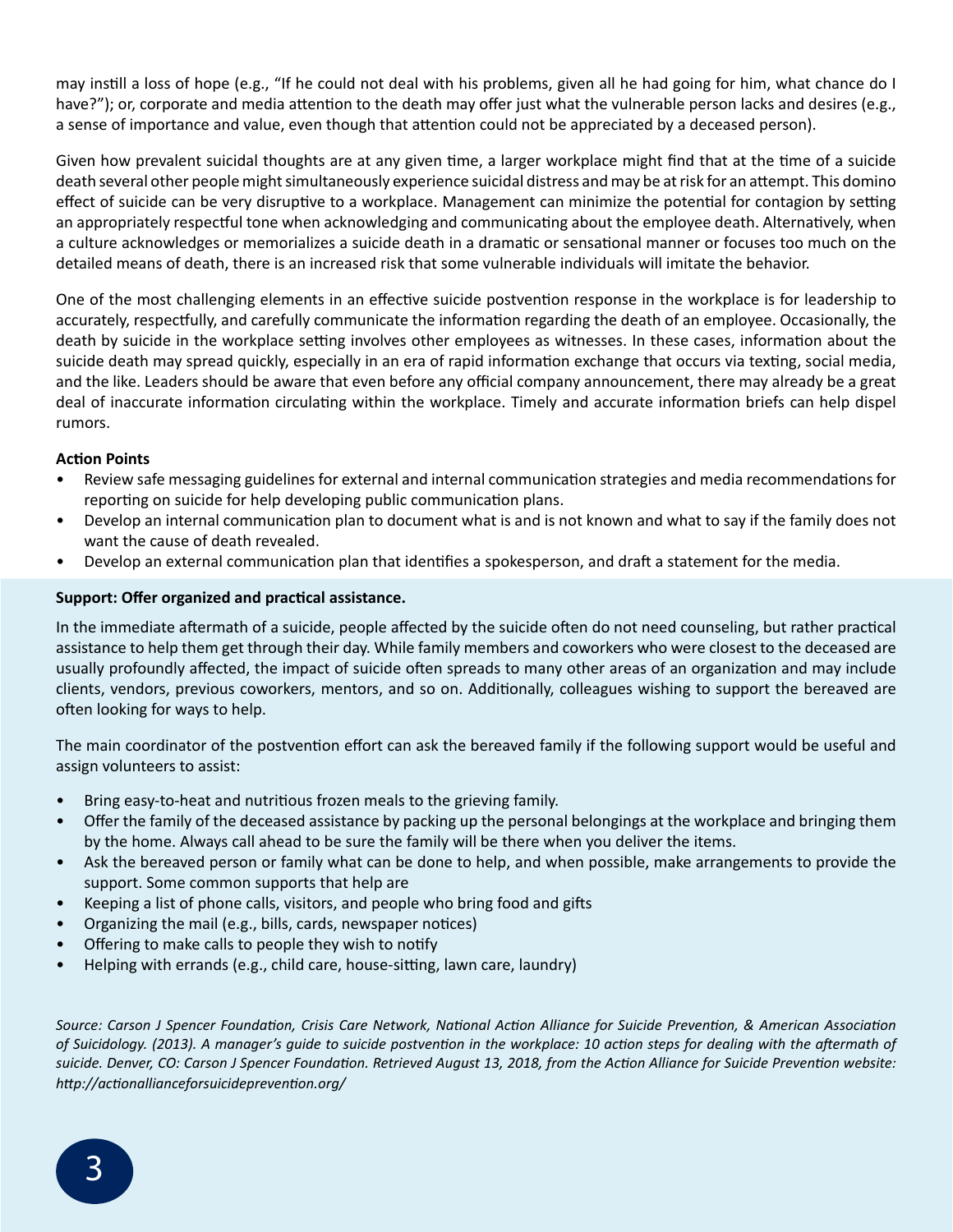may instill a loss of hope (e.g., "If he could not deal with his problems, given all he had going for him, what chance do I have?"); or, corporate and media attention to the death may offer just what the vulnerable person lacks and desires (e.g., a sense of importance and value, even though that attention could not be appreciated by a deceased person).

Given how prevalent suicidal thoughts are at any given time, a larger workplace might find that at the time of a suicide death several other people might simultaneously experience suicidal distress and may be at risk for an attempt. This domino effect of suicide can be very disruptive to a workplace. Management can minimize the potential for contagion by setting an appropriately respectful tone when acknowledging and communicating about the employee death. Alternatively, when a culture acknowledges or memorializes a suicide death in a dramatic or sensational manner or focuses too much on the detailed means of death, there is an increased risk that some vulnerable individuals will imitate the behavior.

One of the most challenging elements in an effective suicide postvention response in the workplace is for leadership to accurately, respectfully, and carefully communicate the information regarding the death of an employee. Occasionally, the death by suicide in the workplace setting involves other employees as witnesses. In these cases, information about the suicide death may spread quickly, especially in an era of rapid information exchange that occurs via texting, social media, and the like. Leaders should be aware that even before any official company announcement, there may already be a great deal of inaccurate information circulating within the workplace. Timely and accurate information briefs can help dispel rumors.

#### **Action Points**

- Review safe messaging guidelines for external and internal communication strategies and media recommendations for reporting on suicide for help developing public communication plans.
- Develop an internal communication plan to document what is and is not known and what to say if the family does not want the cause of death revealed.
- Develop an external communication plan that identifies a spokesperson, and draft a statement for the media.

#### **Support: Offer organized and practical assistance.**

In the immediate aftermath of a suicide, people affected by the suicide often do not need counseling, but rather practical assistance to help them get through their day. While family members and coworkers who were closest to the deceased are usually profoundly affected, the impact of suicide often spreads to many other areas of an organization and may include clients, vendors, previous coworkers, mentors, and so on. Additionally, colleagues wishing to support the bereaved are often looking for ways to help.

The main coordinator of the postvention effort can ask the bereaved family if the following support would be useful and assign volunteers to assist:

- Bring easy-to-heat and nutritious frozen meals to the grieving family.
- Offer the family of the deceased assistance by packing up the personal belongings at the workplace and bringing them by the home. Always call ahead to be sure the family will be there when you deliver the items.
- Ask the bereaved person or family what can be done to help, and when possible, make arrangements to provide the support. Some common supports that help are
- Keeping a list of phone calls, visitors, and people who bring food and gifts
- Organizing the mail (e.g., bills, cards, newspaper notices)
- Offering to make calls to people they wish to notify
- Helping with errands (e.g., child care, house-sitting, lawn care, laundry)

*Source: Carson J Spencer Foundation, Crisis Care Network, National Action Alliance for Suicide Prevention, & American Association of Suicidology. (2013). A manager's guide to suicide postvention in the workplace: 10 action steps for dealing with the aftermath of suicide. Denver, CO: Carson J Spencer Foundation. Retrieved August 13, 2018, from the Action Alliance for Suicide Prevention website: http://actionallianceforsuicideprevention.org/*